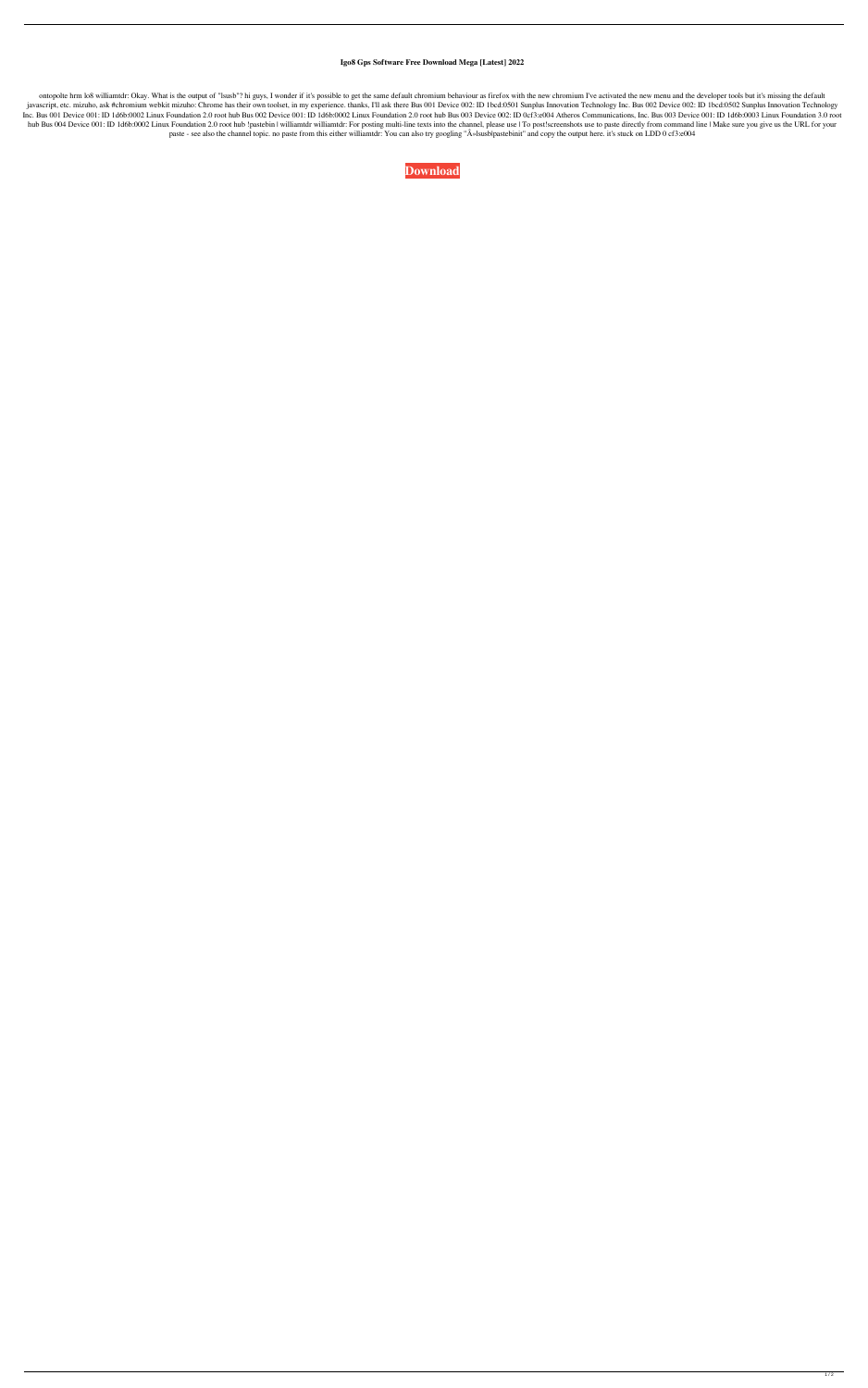## **Igo8 Gps Software Free Download Mega [Latest] 2022**

ontopolte hrm lo8 williamtdr: Okay. What is the output of "Isusb"? hi guys, I wonder if it's possible to get the same default chromium behaviour as firefox with the new chromium I've activated the new menu and the develope javascript, etc. mizuho, ask #chromium webkit mizuho: Chrome has their own toolset, in my experience. thanks, I'll ask there Bus 001 Device 002: ID 1bcd:0501 Sunplus Innovation Technology Inc. Bus 002 Device 002: ID 1bcd:0 Inc. Bus 001 Device 001: ID 1d6b:0002 Linux Foundation 2.0 root hub Bus 002 Device 001: ID 1d6b:0002 Linux Foundation 2.0 root hub Bus 003 Device 002: ID 0cf3:e004 Atheros Communications, Inc. Bus 003 Device 001: ID 1d6b:0 hub Bus 004 Device 001: ID 1d6b:0002 Linux Foundation 2.0 root hub !pastebin | williamtdr williamtdr: For posting multi-line texts into the channel, please use | To post!screenshots use to paste directly from command line paste - see also the channel topic. no paste from this either williamtdr: You can also try googling "»lsusblpastebinit" and copy the output here. it's stuck on LDD 0 cf3:e004

**[Download](http://evacdir.com/ZG93bmxvYWR8YU0wTW1WMllueDhNVFkxTWpRMk16QTFNSHg4TWpVM05IeDhLRTBwSUhKbFlXUXRZbXh2WnlCYlJtRnpkQ0JIUlU1ZA/amsler.cocoons?ponder=railton.wont/aWdvOCBncHMgc29mdHdhcmUgZnJlZSBkb3dubG9hZCBtZWdhaWd/panelizing)**